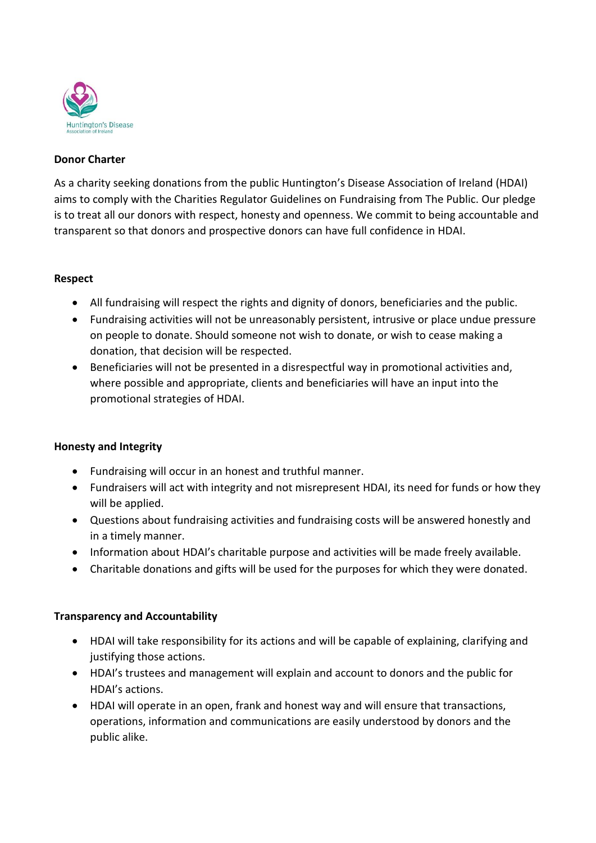

### **Donor Charter**

As a charity seeking donations from the public Huntington's Disease Association of Ireland (HDAI) aims to comply with the Charities Regulator Guidelines on Fundraising from The Public. Our pledge is to treat all our donors with respect, honesty and openness. We commit to being accountable and transparent so that donors and prospective donors can have full confidence in HDAI.

### **Respect**

- All fundraising will respect the rights and dignity of donors, beneficiaries and the public.
- Fundraising activities will not be unreasonably persistent, intrusive or place undue pressure on people to donate. Should someone not wish to donate, or wish to cease making a donation, that decision will be respected.
- Beneficiaries will not be presented in a disrespectful way in promotional activities and, where possible and appropriate, clients and beneficiaries will have an input into the promotional strategies of HDAI.

## **Honesty and Integrity**

- Fundraising will occur in an honest and truthful manner.
- Fundraisers will act with integrity and not misrepresent HDAI, its need for funds or how they will be applied.
- Questions about fundraising activities and fundraising costs will be answered honestly and in a timely manner.
- Information about HDAI's charitable purpose and activities will be made freely available.
- Charitable donations and gifts will be used for the purposes for which they were donated.

## **Transparency and Accountability**

- HDAI will take responsibility for its actions and will be capable of explaining, clarifying and justifying those actions.
- HDAI's trustees and management will explain and account to donors and the public for HDAI's actions.
- HDAI will operate in an open, frank and honest way and will ensure that transactions, operations, information and communications are easily understood by donors and the public alike.